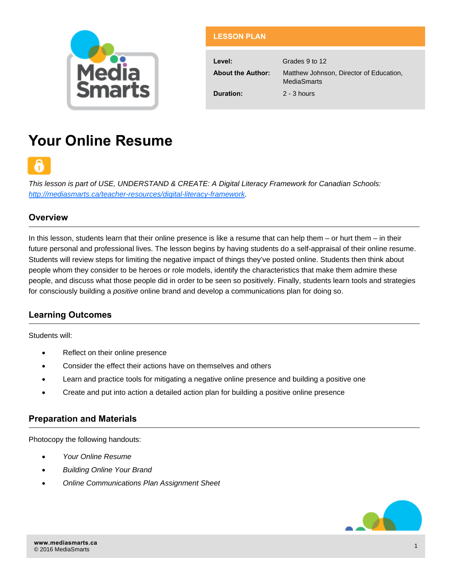

| <b>LESSON PLAN</b> |  |  |
|--------------------|--|--|
|                    |  |  |

| Level:                   | Grades 9 to 12                                                |
|--------------------------|---------------------------------------------------------------|
| <b>About the Author:</b> | Matthew Johnson, Director of Education,<br><b>MediaSmarts</b> |
| Duration:                | $2 - 3$ hours                                                 |

# **Your Online Resume**



*This lesson is part of USE, UNDERSTAND & CREATE: A Digital Literacy Framework for Canadian Schools: [http://mediasmarts.ca/teacher-resources/digital-literacy-framework.](http://mediasmarts.ca/teacher-resources/digital-literacy-framework)* 

## **Overview**

In this lesson, students learn that their online presence is like a resume that can help them – or hurt them – in their future personal and professional lives. The lesson begins by having students do a self-appraisal of their online resume. Students will review steps for limiting the negative impact of things they've posted online. Students then think about people whom they consider to be heroes or role models, identify the characteristics that make them admire these people, and discuss what those people did in order to be seen so positively. Finally, students learn tools and strategies for consciously building a *positive* online brand and develop a communications plan for doing so.

## **Learning Outcomes**

Students will:

- Reflect on their online presence
- Consider the effect their actions have on themselves and others
- Learn and practice tools for mitigating a negative online presence and building a positive one
- Create and put into action a detailed action plan for building a positive online presence

## **Preparation and Materials**

Photocopy the following handouts:

- *Your Online Resume*
- *Building Online Your Brand*
- *Online Communications Plan Assignment Sheet*

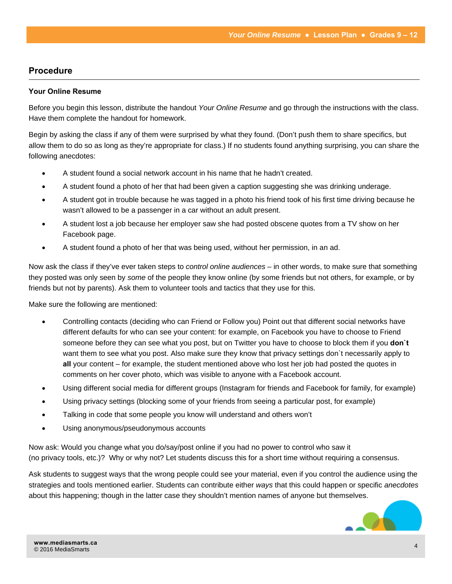### **Procedure**

#### **Your Online Resume**

Before you begin this lesson, distribute the handout *Your Online Resume* and go through the instructions with the class. Have them complete the handout for homework.

Begin by asking the class if any of them were surprised by what they found. (Don't push them to share specifics, but allow them to do so as long as they're appropriate for class.) If no students found anything surprising, you can share the following anecdotes:

- A student found a social network account in his name that he hadn't created.
- A student found a photo of her that had been given a caption suggesting she was drinking underage.
- A student got in trouble because he was tagged in a photo his friend took of his first time driving because he wasn't allowed to be a passenger in a car without an adult present.
- A student lost a job because her employer saw she had posted obscene quotes from a TV show on her Facebook page.
- A student found a photo of her that was being used, without her permission, in an ad.

Now ask the class if they've ever taken steps to *control online audiences –* in other words, to make sure that something they posted was only seen by *some* of the people they know online (by some friends but not others, for example, or by friends but not by parents). Ask them to volunteer tools and tactics that they use for this.

Make sure the following are mentioned:

- Controlling contacts (deciding who can Friend or Follow you) Point out that different social networks have different defaults for who can see your content: for example, on Facebook you have to choose to Friend someone before they can see what you post, but on Twitter you have to choose to block them if you **don`t**  want them to see what you post. Also make sure they know that privacy settings don`t necessarily apply to **all** your content – for example, the student mentioned above who lost her job had posted the quotes in comments on her cover photo, which was visible to anyone with a Facebook account.
- Using different social media for different groups (Instagram for friends and Facebook for family, for example)
- Using privacy settings (blocking some of your friends from seeing a particular post, for example)
- Talking in code that some people you know will understand and others won't
- Using anonymous/pseudonymous accounts

Now ask: Would you change what you do/say/post online if you had no power to control who saw it (no privacy tools, etc.)? Why or why not? Let students discuss this for a short time without requiring a consensus.

Ask students to suggest ways that the wrong people could see your material, even if you control the audience using the strategies and tools mentioned earlier. Students can contribute either *ways* that this could happen or specific *anecdotes* about this happening; though in the latter case they shouldn't mention names of anyone but themselves.

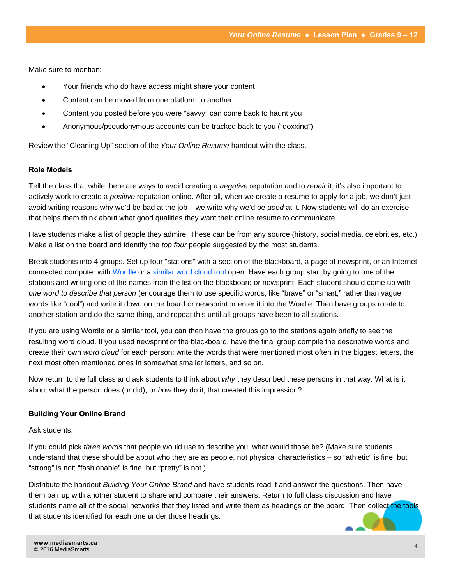Make sure to mention:

- Your friends who do have access might share your content
- Content can be moved from one platform to another
- Content you posted before you were "savvy" can come back to haunt you
- Anonymous/pseudonymous accounts can be tracked back to you ("doxxing")

Review the "Cleaning Up" section of the *Your Online Resume* handout with the class.

#### **Role Models**

Tell the class that while there are ways to avoid creating a *negative* reputation and to *repair* it, it's also important to actively work to create a *positive* reputation online. After all, when we create a resume to apply for a job, we don't just avoid writing reasons why we'd be bad at the job – we write why we'd be *good* at it. Now students will do an exercise that helps them think about what good qualities they want their online resume to communicate.

Have students make a list of people they admire. These can be from any source (history, social media, celebrities, etc.). Make a list on the board and identify the *top four* people suggested by the most students.

Break students into 4 groups. Set up four "stations" with a section of the blackboard, a page of newsprint, or an Internetconnected computer wit[h Wordle](http://www.wordle.net/) or a [similar word cloud tool](http://www.edudemic.com/9-word-cloud-generators-that-arent-wordle/) open. Have each group start by going to one of the stations and writing one of the names from the list on the blackboard or newsprint. Each student should come up with *one word to describe that person* (encourage them to use specific words, like "brave" or "smart," rather than vague words like "cool") and write it down on the board or newsprint or enter it into the Wordle. Then have groups rotate to another station and do the same thing, and repeat this until all groups have been to all stations.

If you are using Wordle or a similar tool, you can then have the groups go to the stations again briefly to see the resulting word cloud. If you used newsprint or the blackboard, have the final group compile the descriptive words and create their own *word cloud* for each person: write the words that were mentioned most often in the biggest letters, the next most often mentioned ones in somewhat smaller letters, and so on.

Now return to the full class and ask students to think about *why* they described these persons in that way. What is it about what the person does (or did), or *how* they do it, that created this impression?

#### **Building Your Online Brand**

Ask students:

If you could pick *three words* that people would use to describe you, what would those be? (Make sure students understand that these should be about who they are as people, not physical characteristics – so "athletic" is fine, but "strong" is not; "fashionable" is fine, but "pretty" is not.)

Distribute the handout *Building Your Online Brand* and have students read it and answer the questions. Then have them pair up with another student to share and compare their answers. Return to full class discussion and have that students identified for each one under those headings. students name all of the social networks that they listed and write them as headings on the board. Then collect the tools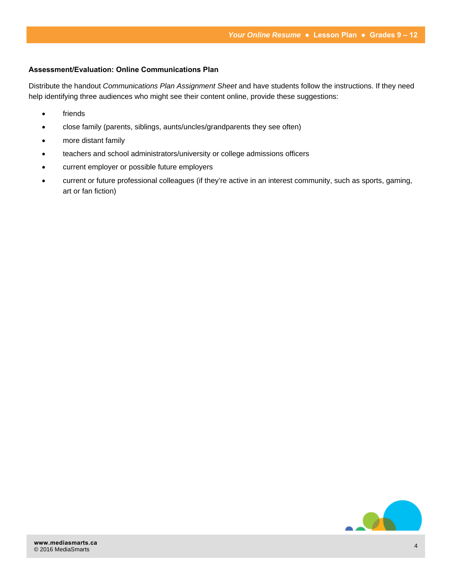#### **Assessment/Evaluation: Online Communications Plan**

Distribute the handout *Communications Plan Assignment Sheet* and have students follow the instructions. If they need help identifying three audiences who might see their content online, provide these suggestions:

- friends
- close family (parents, siblings, aunts/uncles/grandparents they see often)
- more distant family
- teachers and school administrators/university or college admissions officers
- current employer or possible future employers
- current or future professional colleagues (if they're active in an interest community, such as sports, gaming, art or fan fiction)

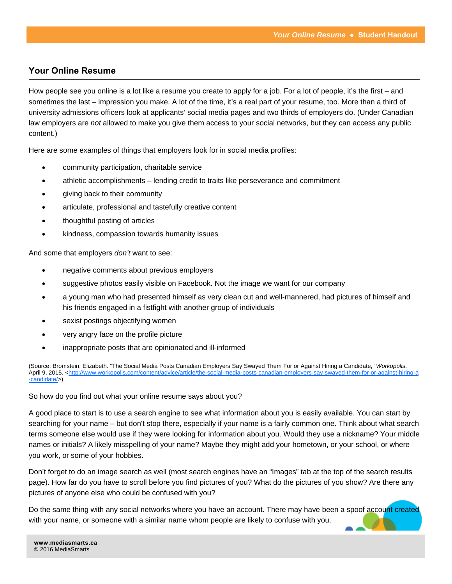## **Your Online Resume**

How people see you online is a lot like a resume you create to apply for a job. For a lot of people, it's the first – and sometimes the last – impression you make. A lot of the time, it's a real part of your resume, too. More than a third of university admissions officers look at applicants' social media pages and two thirds of employers do. (Under Canadian law employers are *not* allowed to make you give them access to your social networks, but they can access any public content.)

Here are some examples of things that employers look for in social media profiles:

- community participation, charitable service
- athletic accomplishments lending credit to traits like perseverance and commitment
- giving back to their community
- articulate, professional and tastefully creative content
- thoughtful posting of articles
- kindness, compassion towards humanity issues

And some that employers *don't* want to see:

- negative comments about previous employers
- suggestive photos easily visible on Facebook. Not the image we want for our company
- a young man who had presented himself as very clean cut and well-mannered, had pictures of himself and his friends engaged in a fistfight with another group of individuals
- sexist postings objectifying women
- very angry face on the profile picture
- inappropriate posts that are opinionated and ill-informed

(Source: Bromstein, Elizabeth. "The Social Media Posts Canadian Employers Say Swayed Them For or Against Hiring a Candidate," *Workopolis*. April 9, 2015. <http://www.workopolis.com/content/advice/article/the-social-media-posts-canadian-employers-say-swayed-them-for-or-against-hiring-a [-candidate/>\)](http://www.workopolis.com/content/advice/article/the-social-media-posts-canadian-employers-say-swayed-them-for-or-against-hiring-a-candidate/) 

So how do you find out what your online resume says about you?

A good place to start is to use a search engine to see what information about you is easily available. You can start by searching for your name – but don't stop there, especially if your name is a fairly common one. Think about what search terms someone else would use if they were looking for information about you. Would they use a nickname? Your middle names or initials? A likely misspelling of your name? Maybe they might add your hometown, or your school, or where you work, or some of your hobbies.

Don't forget to do an image search as well (most search engines have an "Images" tab at the top of the search results page). How far do you have to scroll before you find pictures of you? What do the pictures of you show? Are there any pictures of anyone else who could be confused with you?

Do the same thing with any social networks where you have an account. There may have been a spoof account created with your name, or someone with a similar name whom people are likely to confuse with you.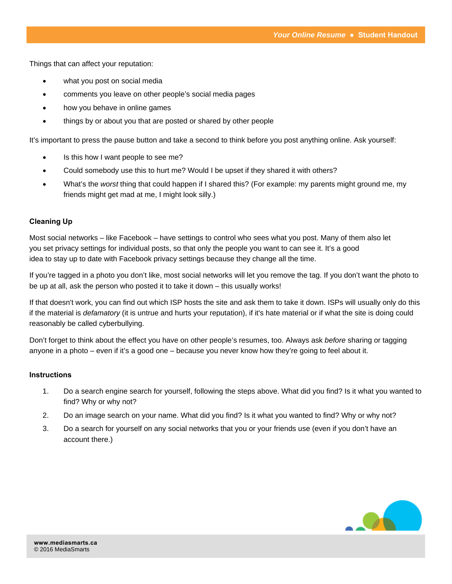Things that can affect your reputation:

- what you post on social media
- comments you leave on other people's social media pages
- how you behave in online games
- things by or about you that are posted or shared by other people

It's important to press the pause button and take a second to think before you post anything online. Ask yourself:

- Is this how I want people to see me?
- Could somebody use this to hurt me? Would I be upset if they shared it with others?
- What's the *worst* thing that could happen if I shared this? (For example: my parents might ground me, my friends might get mad at me, I might look silly.)

#### **Cleaning Up**

Most social networks – like Facebook – have settings to control who sees what you post. Many of them also let you set privacy settings for individual posts, so that only the people you want to can see it. It's a good idea to stay up to date with Facebook privacy settings because they change all the time.

If you're tagged in a photo you don't like, most social networks will let you remove the tag. If you don't want the photo to be up at all, ask the person who posted it to take it down – this usually works!

If that doesn't work, you can find out which ISP hosts the site and ask them to take it down. ISPs will usually only do this if the material is *defamatory* (it is untrue and hurts your reputation), if it's hate material or if what the site is doing could reasonably be called cyberbullying.

Don't forget to think about the effect you have on other people's resumes, too. Always ask *before* sharing or tagging anyone in a photo – even if it's a good one – because you never know how they're going to feel about it.

#### **Instructions**

- 1. Do a search engine search for yourself, following the steps above. What did you find? Is it what you wanted to find? Why or why not?
- 2. Do an image search on your name. What did you find? Is it what you wanted to find? Why or why not?
- 3. Do a search for yourself on any social networks that you or your friends use (even if you don't have an account there.)

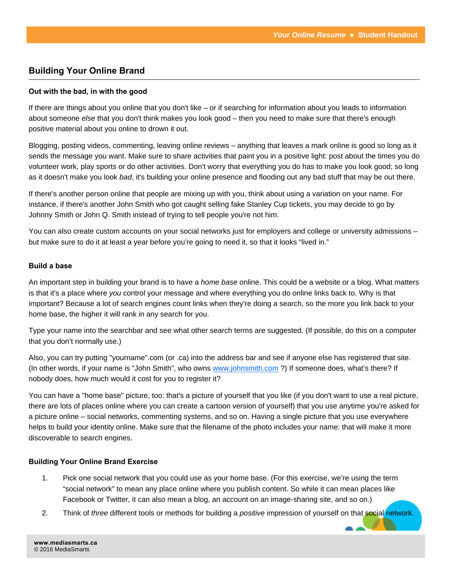# **Building Your Online Brand**

#### **Out with the bad, in with the good**

If there are things about you online that you don't like – or if searching for information about you leads to information about someone *else* that you don't think makes you look good – then you need to make sure that there's enough positive material about you online to drown it out.

Blogging, posting videos, commenting, leaving online reviews – anything that leaves a mark online is good so long as it sends the message you want. Make sure to share activities that paint you in a positive light: post about the times you do volunteer work, play sports or do other activities. Don't worry that everything you do has to make you look good; so long as it doesn't make you look *bad*, it's building your online presence and flooding out any bad stuff that may be out there.

If there's another person online that people are mixing up with you, think about using a variation on your name. For instance, if there's another John Smith who got caught selling fake Stanley Cup tickets, you may decide to go by Johnny Smith or John Q. Smith instead of trying to tell people you're not him.

You can also create custom accounts on your social networks just for employers and college or university admissions – but make sure to do it at least a year before you're going to need it, so that it looks "lived in."

#### **Build a base**

An important step in building your brand is to have a *home base* online. This could be a website or a blog. What matters is that it's a place where *you* control your message and where everything you do online links back to. Why is that important? Because a lot of search engines count links when they're doing a search, so the more you link back to your home base, the higher it will rank in any search for you.

Type your name into the searchbar and see what other search terms are suggested. (If possible, do this on a computer that you don't normally use.)

Also, you can try putting "yourname".com (or .ca) into the address bar and see if anyone else has registered that site. (In other words, if your name is "John Smith", who owns [www.johnsmith.com ?\)](http://www.johnsmith.com) If someone does, what's there? If nobody does, how much would it cost for you to register it?

You can have a "home base" picture, too: that's a picture of yourself that you like (if you don't want to use a real picture, there are lots of places online where you can create a cartoon version of yourself) that you use anytime you're asked for a picture online – social networks, commenting systems, and so on. Having a single picture that you use everywhere helps to build your identity online. Make sure that the filename of the photo includes your name: that will make it more discoverable to search engines.

#### **Building Your Online Brand Exercise**

- 1. Pick one social network that you could use as your home base. (For this exercise, we're using the term "social network" to mean any place online where you publish content. So while it can mean places like Facebook or Twitter, it can also mean a blog, an account on an image-sharing site, and so on.)
- 2. Think of *three* different tools or methods for building a *positive* impression of yourself on that social network.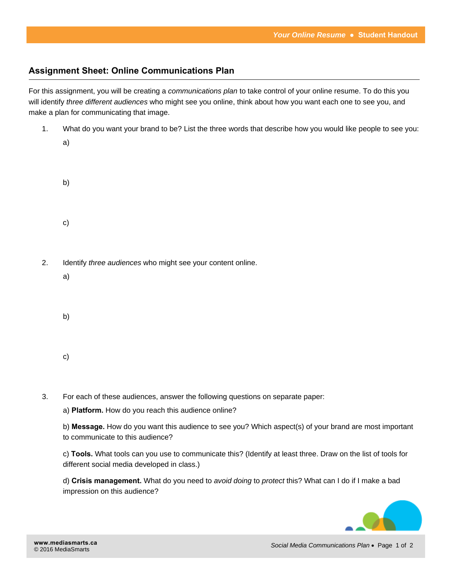## **Assignment Sheet: Online Communications Plan**

For this assignment, you will be creating a *communications plan* to take control of your online resume. To do this you will identify *three different audiences* who might see you online, think about how you want each one to see you, and make a plan for communicating that image.

1. What do you want your brand to be? List the three words that describe how you would like people to see you:

| I       |  |
|---------|--|
| v.<br>i |  |

b)

c)

- 2. Identify *three audiences* who might see your content online.
	- a)
	- b)
	-
	- c)
- 3. For each of these audiences, answer the following questions on separate paper:

a) Platform. How do you reach this audience online?

b) **Message.** How do you want this audience to see you? Which aspect(s) of your brand are most important to communicate to this audience?

c) **Tools.** What tools can you use to communicate this? (Identify at least three. Draw on the list of tools for different social media developed in class.)

d) **Crisis management.** What do you need to *avoid doing* to *protect* this? What can I do if I make a bad impression on this audience?

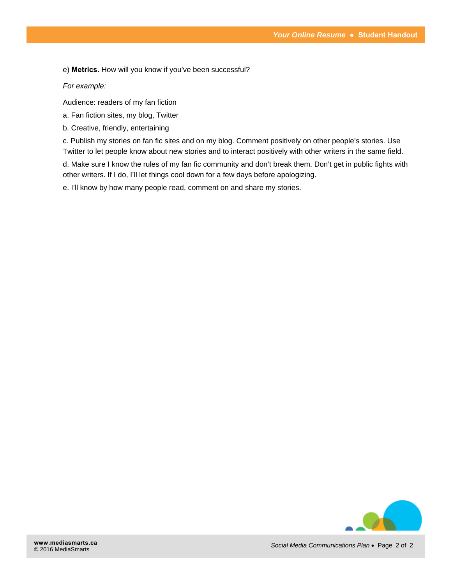e) **Metrics.** How will you know if you've been successful?

#### *For example:*

Audience: readers of my fan fiction

a. Fan fiction sites, my blog, Twitter

b. Creative, friendly, entertaining

c. Publish my stories on fan fic sites and on my blog. Comment positively on other people's stories. Use Twitter to let people know about new stories and to interact positively with other writers in the same field.

d. Make sure I know the rules of my fan fic community and don't break them. Don't get in public fights with other writers. If I do, I'll let things cool down for a few days before apologizing.

e. I'll know by how many people read, comment on and share my stories.

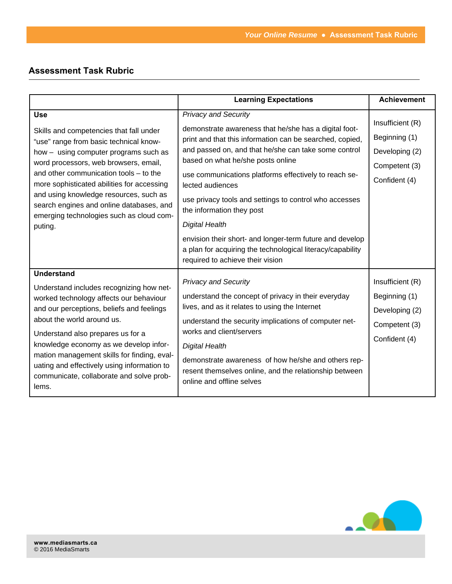# **Assessment Task Rubric**

|                                                                                                                                                                                                                                                                                                                                                                                                                        | <b>Learning Expectations</b>                                                                                                                                                                                                                                                                                                                                                                                                                                                                                                                                                                             | <b>Achievement</b>                                                                    |
|------------------------------------------------------------------------------------------------------------------------------------------------------------------------------------------------------------------------------------------------------------------------------------------------------------------------------------------------------------------------------------------------------------------------|----------------------------------------------------------------------------------------------------------------------------------------------------------------------------------------------------------------------------------------------------------------------------------------------------------------------------------------------------------------------------------------------------------------------------------------------------------------------------------------------------------------------------------------------------------------------------------------------------------|---------------------------------------------------------------------------------------|
| <b>Use</b><br>Skills and competencies that fall under<br>"use" range from basic technical know-<br>how - using computer programs such as<br>word processors, web browsers, email,<br>and other communication tools – to the<br>more sophisticated abilities for accessing<br>and using knowledge resources, such as<br>search engines and online databases, and<br>emerging technologies such as cloud com-<br>puting. | <b>Privacy and Security</b><br>demonstrate awareness that he/she has a digital foot-<br>print and that this information can be searched, copied,<br>and passed on, and that he/she can take some control<br>based on what he/she posts online<br>use communications platforms effectively to reach se-<br>lected audiences<br>use privacy tools and settings to control who accesses<br>the information they post<br><b>Digital Health</b><br>envision their short- and longer-term future and develop<br>a plan for acquiring the technological literacy/capability<br>required to achieve their vision | Insufficient (R)<br>Beginning (1)<br>Developing (2)<br>Competent (3)<br>Confident (4) |
| <b>Understand</b><br>Understand includes recognizing how net-<br>worked technology affects our behaviour<br>and our perceptions, beliefs and feelings<br>about the world around us.<br>Understand also prepares us for a<br>knowledge economy as we develop infor-<br>mation management skills for finding, eval-<br>uating and effectively using information to<br>communicate, collaborate and solve prob-<br>lems.  | <b>Privacy and Security</b><br>understand the concept of privacy in their everyday<br>lives, and as it relates to using the Internet<br>understand the security implications of computer net-<br>works and client/servers<br><b>Digital Health</b><br>demonstrate awareness of how he/she and others rep-<br>resent themselves online, and the relationship between<br>online and offline selves                                                                                                                                                                                                         | Insufficient (R)<br>Beginning (1)<br>Developing (2)<br>Competent (3)<br>Confident (4) |